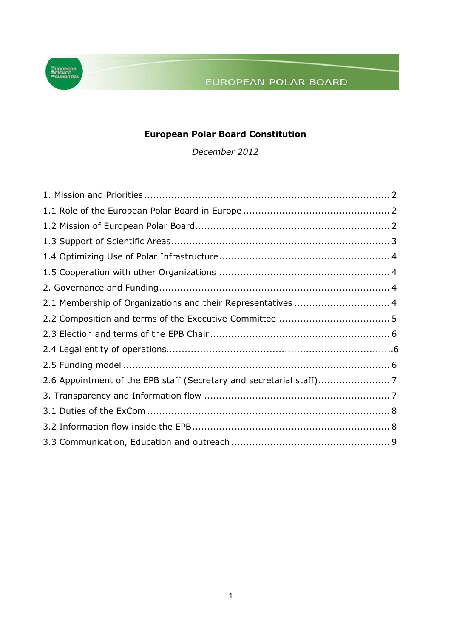# EUROPEAN POLAR BOARD



## **European Polar Board Constitution**

*December 2012*

| 2.1 Membership of Organizations and their Representatives  4 |  |
|--------------------------------------------------------------|--|
|                                                              |  |
|                                                              |  |
|                                                              |  |
|                                                              |  |
|                                                              |  |
|                                                              |  |
|                                                              |  |
|                                                              |  |
|                                                              |  |
|                                                              |  |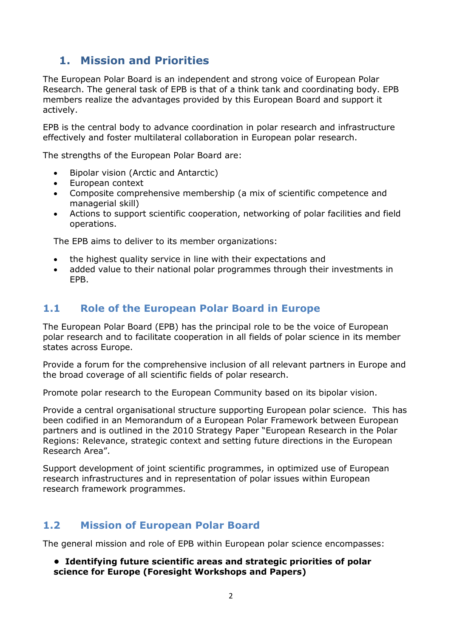# <span id="page-1-0"></span>**1. Mission and Priorities**

The European Polar Board is an independent and strong voice of European Polar Research. The general task of EPB is that of a think tank and coordinating body. EPB members realize the advantages provided by this European Board and support it actively.

EPB is the central body to advance coordination in polar research and infrastructure effectively and foster multilateral collaboration in European polar research.

The strengths of the European Polar Board are:

- Bipolar vision (Arctic and Antarctic)
- European context
- Composite comprehensive membership (a mix of scientific competence and managerial skill)
- Actions to support scientific cooperation, networking of polar facilities and field operations.

The EPB aims to deliver to its member organizations:

- the highest quality service in line with their expectations and
- added value to their national polar programmes through their investments in EPB.

### <span id="page-1-1"></span>**1.1 Role of the European Polar Board in Europe**

The European Polar Board (EPB) has the principal role to be the voice of European polar research and to facilitate cooperation in all fields of polar science in its member states across Europe.

Provide a forum for the comprehensive inclusion of all relevant partners in Europe and the broad coverage of all scientific fields of polar research.

Promote polar research to the European Community based on its bipolar vision.

Provide a central organisational structure supporting European polar science. This has been codified in an Memorandum of a European Polar Framework between European partners and is outlined in the 2010 Strategy Paper "European Research in the Polar Regions: Relevance, strategic context and setting future directions in the European Research Area".

Support development of joint scientific programmes, in optimized use of European research infrastructures and in representation of polar issues within European research framework programmes.

### <span id="page-1-2"></span>**1.2 Mission of European Polar Board**

The general mission and role of EPB within European polar science encompasses:

#### **• Identifying future scientific areas and strategic priorities of polar science for Europe (Foresight Workshops and Papers)**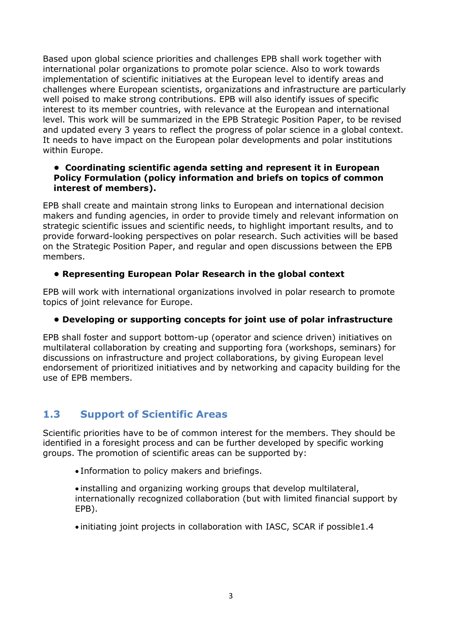Based upon global science priorities and challenges EPB shall work together with international polar organizations to promote polar science. Also to work towards implementation of scientific initiatives at the European level to identify areas and challenges where European scientists, organizations and infrastructure are particularly well poised to make strong contributions. EPB will also identify issues of specific interest to its member countries, with relevance at the European and international level. This work will be summarized in the EPB Strategic Position Paper, to be revised and updated every 3 years to reflect the progress of polar science in a global context. It needs to have impact on the European polar developments and polar institutions within Europe.

#### **• Coordinating scientific agenda setting and represent it in European Policy Formulation (policy information and briefs on topics of common interest of members).**

EPB shall create and maintain strong links to European and international decision makers and funding agencies, in order to provide timely and relevant information on strategic scientific issues and scientific needs, to highlight important results, and to provide forward-looking perspectives on polar research. Such activities will be based on the Strategic Position Paper, and regular and open discussions between the EPB members.

#### **• Representing European Polar Research in the global context**

EPB will work with international organizations involved in polar research to promote topics of joint relevance for Europe.

#### **• Developing or supporting concepts for joint use of polar infrastructure**

EPB shall foster and support bottom-up (operator and science driven) initiatives on multilateral collaboration by creating and supporting fora (workshops, seminars) for discussions on infrastructure and project collaborations, by giving European level endorsement of prioritized initiatives and by networking and capacity building for the use of EPB members.

# <span id="page-2-0"></span>**1.3 Support of Scientific Areas**

<span id="page-2-1"></span>Scientific priorities have to be of common interest for the members. They should be identified in a foresight process and can be further developed by specific working groups. The promotion of scientific areas can be supported by:

Information to policy makers and briefings.

 installing and organizing working groups that develop multilateral, internationally recognized collaboration (but with limited financial support by EPB).

initiating joint projects in collaboration with IASC, SCAR if possible1.4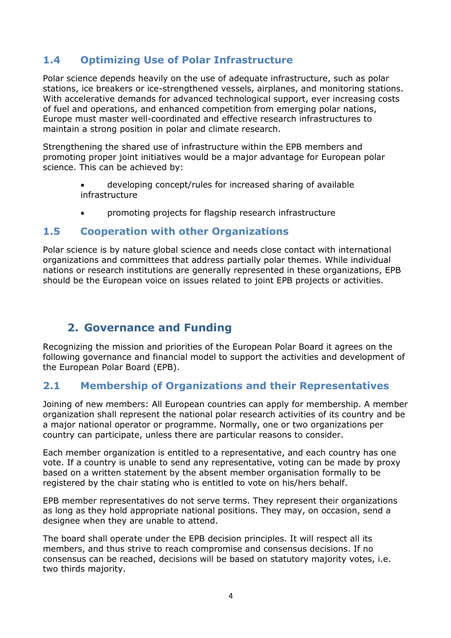## **1.4 Optimizing Use of Polar Infrastructure**

Polar science depends heavily on the use of adequate infrastructure, such as polar stations, ice breakers or ice-strengthened vessels, airplanes, and monitoring stations. With accelerative demands for advanced technological support, ever increasing costs of fuel and operations, and enhanced competition from emerging polar nations, Europe must master well-coordinated and effective research infrastructures to maintain a strong position in polar and climate research.

Strengthening the shared use of infrastructure within the EPB members and promoting proper joint initiatives would be a major advantage for European polar science. This can be achieved by:

- developing concept/rules for increased sharing of available infrastructure
- promoting projects for flagship research infrastructure

#### <span id="page-3-0"></span>**1.5 Cooperation with other Organizations**

Polar science is by nature global science and needs close contact with international organizations and committees that address partially polar themes. While individual nations or research institutions are generally represented in these organizations, EPB should be the European voice on issues related to joint EPB projects or activities.

## <span id="page-3-1"></span>**2. Governance and Funding**

Recognizing the mission and priorities of the European Polar Board it agrees on the following governance and financial model to support the activities and development of the European Polar Board (EPB).

### <span id="page-3-2"></span>**2.1 Membership of Organizations and their Representatives**

Joining of new members: All European countries can apply for membership. A member organization shall represent the national polar research activities of its country and be a major national operator or programme. Normally, one or two organizations per country can participate, unless there are particular reasons to consider.

Each member organization is entitled to a representative, and each country has one vote. If a country is unable to send any representative, voting can be made by proxy based on a written statement by the absent member organisation formally to be registered by the chair stating who is entitled to vote on his/hers behalf.

EPB member representatives do not serve terms. They represent their organizations as long as they hold appropriate national positions. They may, on occasion, send a designee when they are unable to attend.

The board shall operate under the EPB decision principles. It will respect all its members, and thus strive to reach compromise and consensus decisions. If no consensus can be reached, decisions will be based on statutory majority votes, i.e. two thirds majority.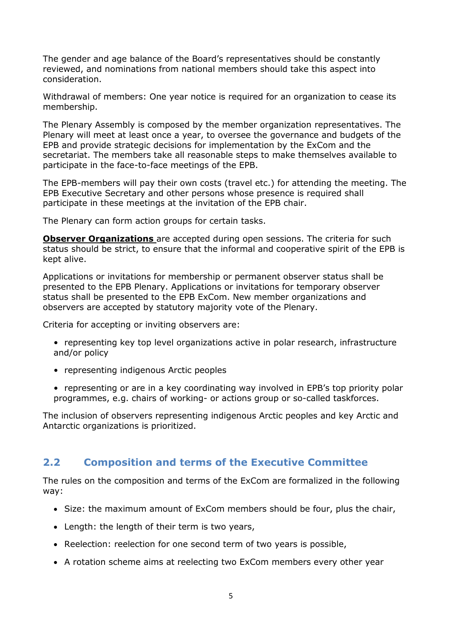The gender and age balance of the Board's representatives should be constantly reviewed, and nominations from national members should take this aspect into consideration.

Withdrawal of members: One year notice is required for an organization to cease its membership.

The Plenary Assembly is composed by the member organization representatives. The Plenary will meet at least once a year, to oversee the governance and budgets of the EPB and provide strategic decisions for implementation by the ExCom and the secretariat. The members take all reasonable steps to make themselves available to participate in the face-to-face meetings of the EPB.

The EPB-members will pay their own costs (travel etc.) for attending the meeting. The EPB Executive Secretary and other persons whose presence is required shall participate in these meetings at the invitation of the EPB chair.

The Plenary can form action groups for certain tasks.

**Observer Organizations** are accepted during open sessions. The criteria for such status should be strict, to ensure that the informal and cooperative spirit of the EPB is kept alive.

Applications or invitations for membership or permanent observer status shall be presented to the EPB Plenary. Applications or invitations for temporary observer status shall be presented to the EPB ExCom. New member organizations and observers are accepted by statutory majority vote of the Plenary.

Criteria for accepting or inviting observers are:

- representing key top level organizations active in polar research, infrastructure and/or policy
- representing indigenous Arctic peoples
- representing or are in a key coordinating way involved in EPB's top priority polar programmes, e.g. chairs of working- or actions group or so-called taskforces.

The inclusion of observers representing indigenous Arctic peoples and key Arctic and Antarctic organizations is prioritized.

### <span id="page-4-0"></span>**2.2 Composition and terms of the Executive Committee**

The rules on the composition and terms of the ExCom are formalized in the following way:

- Size: the maximum amount of ExCom members should be four, plus the chair,
- Length: the length of their term is two years,
- Reelection: reelection for one second term of two years is possible,
- A rotation scheme aims at reelecting two ExCom members every other year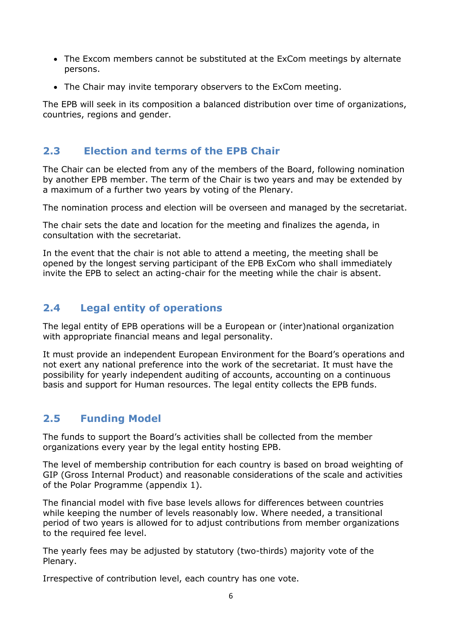- The Excom members cannot be substituted at the ExCom meetings by alternate persons.
- The Chair may invite temporary observers to the ExCom meeting.

The EPB will seek in its composition a balanced distribution over time of organizations, countries, regions and gender.

### <span id="page-5-0"></span>**2.3 Election and terms of the EPB Chair**

<span id="page-5-2"></span>The Chair can be elected from any of the members of the Board, following nomination by another EPB member. The term of the Chair is two years and may be extended by a maximum of a further two years by voting of the Plenary.

The nomination process and election will be overseen and managed by the secretariat.

The chair sets the date and location for the meeting and finalizes the agenda, in consultation with the secretariat.

In the event that the chair is not able to attend a meeting, the meeting shall be opened by the longest serving participant of the EPB ExCom who shall immediately invite the EPB to select an acting-chair for the meeting while the chair is absent.

## <span id="page-5-1"></span>**2.4 Legal entity of operations**

The legal entity of EPB operations will be a European or (inter)national organization with appropriate financial means and legal personality.

It must provide an independent European Environment for the Board's operations and not exert any national preference into the work of the secretariat. It must have the possibility for yearly independent auditing of accounts, accounting on a continuous basis and support for Human resources. The legal entity collects the EPB funds.

## **2.5 Funding Model**

The funds to support the Board's activities shall be collected from the member organizations every year by the legal entity hosting EPB.

The level of membership contribution for each country is based on broad weighting of GIP (Gross Internal Product) and reasonable considerations of the scale and activities of the Polar Programme (appendix 1).

The financial model with five base levels allows for differences between countries while keeping the number of levels reasonably low. Where needed, a transitional period of two years is allowed for to adjust contributions from member organizations to the required fee level.

The yearly fees may be adjusted by statutory (two-thirds) majority vote of the Plenary.

Irrespective of contribution level, each country has one vote.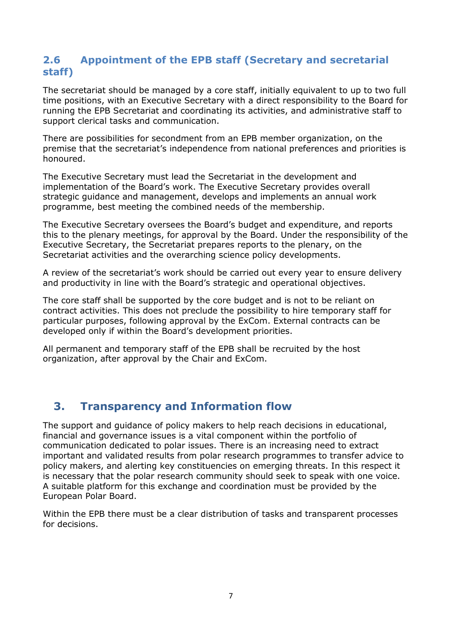### <span id="page-6-0"></span>**2.6 Appointment of the EPB staff (Secretary and secretarial staff)**

The secretariat should be managed by a core staff, initially equivalent to up to two full time positions, with an Executive Secretary with a direct responsibility to the Board for running the EPB Secretariat and coordinating its activities, and administrative staff to support clerical tasks and communication.

There are possibilities for secondment from an EPB member organization, on the premise that the secretariat's independence from national preferences and priorities is honoured.

The Executive Secretary must lead the Secretariat in the development and implementation of the Board's work. The Executive Secretary provides overall strategic guidance and management, develops and implements an annual work programme, best meeting the combined needs of the membership.

The Executive Secretary oversees the Board's budget and expenditure, and reports this to the plenary meetings, for approval by the Board. Under the responsibility of the Executive Secretary, the Secretariat prepares reports to the plenary, on the Secretariat activities and the overarching science policy developments.

A review of the secretariat's work should be carried out every year to ensure delivery and productivity in line with the Board's strategic and operational objectives.

The core staff shall be supported by the core budget and is not to be reliant on contract activities. This does not preclude the possibility to hire temporary staff for particular purposes, following approval by the ExCom. External contracts can be developed only if within the Board's development priorities.

All permanent and temporary staff of the EPB shall be recruited by the host organization, after approval by the Chair and ExCom.

# <span id="page-6-1"></span>**3. Transparency and Information flow**

The support and guidance of policy makers to help reach decisions in educational, financial and governance issues is a vital component within the portfolio of communication dedicated to polar issues. There is an increasing need to extract important and validated results from polar research programmes to transfer advice to policy makers, and alerting key constituencies on emerging threats. In this respect it is necessary that the polar research community should seek to speak with one voice. A suitable platform for this exchange and coordination must be provided by the European Polar Board.

Within the EPB there must be a clear distribution of tasks and transparent processes for decisions.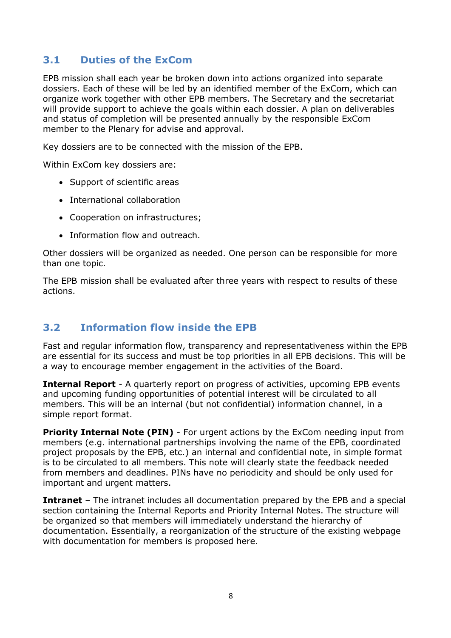### <span id="page-7-0"></span>**3.1 Duties of the ExCom**

EPB mission shall each year be broken down into actions organized into separate dossiers. Each of these will be led by an identified member of the ExCom, which can organize work together with other EPB members. The Secretary and the secretariat will provide support to achieve the goals within each dossier. A plan on deliverables and status of completion will be presented annually by the responsible ExCom member to the Plenary for advise and approval.

Key dossiers are to be connected with the mission of the EPB.

Within ExCom key dossiers are:

- Support of scientific areas
- International collaboration
- Cooperation on infrastructures;
- Information flow and outreach.

Other dossiers will be organized as needed. One person can be responsible for more than one topic.

The EPB mission shall be evaluated after three years with respect to results of these actions.

### <span id="page-7-1"></span>**3.2 Information flow inside the EPB**

Fast and regular information flow, transparency and representativeness within the EPB are essential for its success and must be top priorities in all EPB decisions. This will be a way to encourage member engagement in the activities of the Board.

**Internal Report** - A quarterly report on progress of activities, upcoming EPB events and upcoming funding opportunities of potential interest will be circulated to all members. This will be an internal (but not confidential) information channel, in a simple report format.

**Priority Internal Note (PIN)** - For urgent actions by the ExCom needing input from members (e.g. international partnerships involving the name of the EPB, coordinated project proposals by the EPB, etc.) an internal and confidential note, in simple format is to be circulated to all members. This note will clearly state the feedback needed from members and deadlines. PINs have no periodicity and should be only used for important and urgent matters.

**Intranet** – The intranet includes all documentation prepared by the EPB and a special section containing the Internal Reports and Priority Internal Notes. The structure will be organized so that members will immediately understand the hierarchy of documentation. Essentially, a reorganization of the structure of the existing webpage with documentation for members is proposed here.